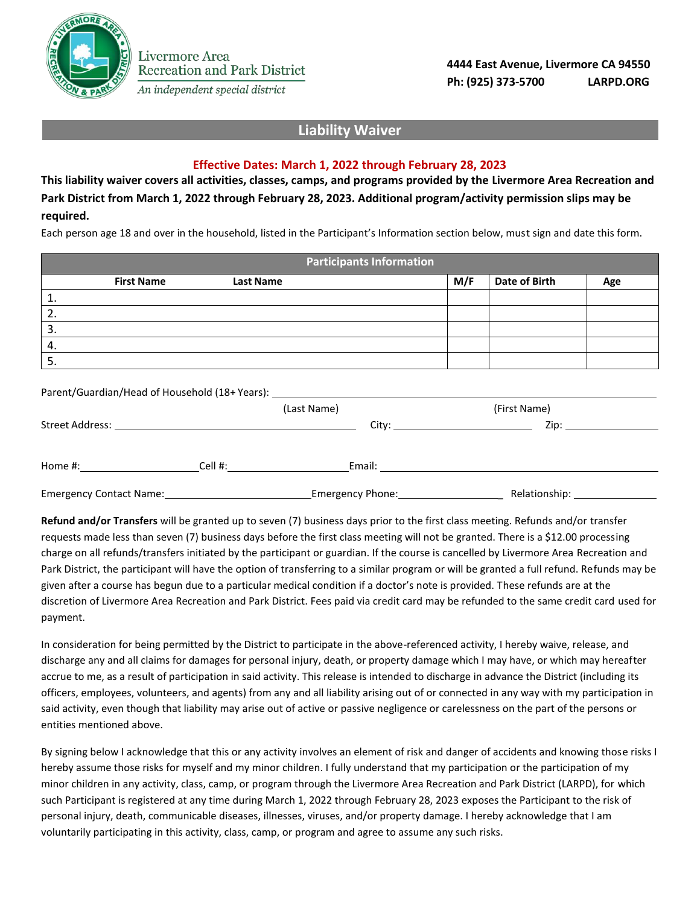

## **Liability Waiver**

## **Effective Dates: March 1, 2022 through February 28, 2023**

**This liability waiver covers all activities, classes, camps, and programs provided by the Livermore Area Recreation and Park District from March 1, 2022 through February 28, 2023. Additional program/activity permission slips may be required.**

Each person age 18 and over in the household, listed in the Participant's Information section below, must sign and date this form.

|    |                   |                  | <b>Participants Information</b> |     |               |     |
|----|-------------------|------------------|---------------------------------|-----|---------------|-----|
|    | <b>First Name</b> | <b>Last Name</b> |                                 | M/F | Date of Birth | Age |
| Τ. |                   |                  |                                 |     |               |     |
| 2. |                   |                  |                                 |     |               |     |
| 3. |                   |                  |                                 |     |               |     |
| 4. |                   |                  |                                 |     |               |     |
| э. |                   |                  |                                 |     |               |     |

Parent/Guardian/Head of Household (18+ Years):

Livermore Area

**Recreation and Park District** 

|                         | (Last Name) |                  | (First Name)  |
|-------------------------|-------------|------------------|---------------|
| Street Address:         |             | City:            | Zip:          |
| Home #:                 | Cell #:     | Email:           |               |
| Emergency Contact Name: |             | Emergency Phone: | Relationship: |

**Refund and/or Transfers** will be granted up to seven (7) business days prior to the first class meeting. Refunds and/or transfer requests made less than seven (7) business days before the first class meeting will not be granted. There is a \$12.00 processing charge on all refunds/transfers initiated by the participant or guardian. If the course is cancelled by Livermore Area Recreation and Park District, the participant will have the option of transferring to a similar program or will be granted a full refund. Refunds may be given after a course has begun due to a particular medical condition if a doctor's note is provided. These refunds are at the discretion of Livermore Area Recreation and Park District. Fees paid via credit card may be refunded to the same credit card used for payment.

In consideration for being permitted by the District to participate in the above-referenced activity, I hereby waive, release, and discharge any and all claims for damages for personal injury, death, or property damage which I may have, or which may hereafter accrue to me, as a result of participation in said activity. This release is intended to discharge in advance the District (including its officers, employees, volunteers, and agents) from any and all liability arising out of or connected in any way with my participation in said activity, even though that liability may arise out of active or passive negligence or carelessness on the part of the persons or entities mentioned above.

By signing below I acknowledge that this or any activity involves an element of risk and danger of accidents and knowing those risks I hereby assume those risks for myself and my minor children. I fully understand that my participation or the participation of my minor children in any activity, class, camp, or program through the Livermore Area Recreation and Park District (LARPD), for which such Participant is registered at any time during March 1, 2022 through February 28, 2023 exposes the Participant to the risk of personal injury, death, communicable diseases, illnesses, viruses, and/or property damage. I hereby acknowledge that I am voluntarily participating in this activity, class, camp, or program and agree to assume any such risks.